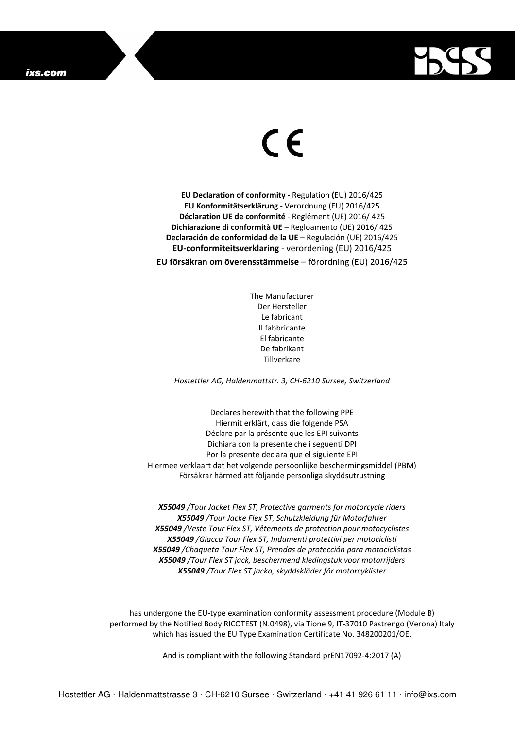

## $\in$

**EU Declaration of conformity -** Regulation **(**EU) 2016/425 **EU Konformitätserklärung** - Verordnung (EU) 2016/425 **Déclaration UE de conformité** - Reglément (UE) 2016/ 425 **Dichiarazione di conformità UE** – Regloamento (UE) 2016/ 425 **Declaración de conformidad de la UE** – Regulación (UE) 2016/425 **EU-conformiteitsverklaring** - verordening (EU) 2016/425 **EU försäkran om överensstämmelse** – förordning (EU) 2016/425

> The Manufacturer Der Hersteller Le fabricant Il fabbricante El fabricante De fabrikant **Tillverkare**

*Hostettler AG, Haldenmattstr. 3, CH-6210 Sursee, Switzerland* 

Declares herewith that the following PPE Hiermit erklärt, dass die folgende PSA Déclare par la présente que les EPI suivants Dichiara con la presente che i seguenti DPI Por la presente declara que el siguiente EPI Hiermee verklaart dat het volgende persoonlijke beschermingsmiddel (PBM) Försäkrar härmed att följande personliga skyddsutrustning

*X55049 /Tour Jacket Flex ST, Protective garments for motorcycle riders X55049 /Tour Jacke Flex ST, Schutzkleidung für Motorfahrer X55049 /Veste Tour Flex ST, Vêtements de protection pour motocyclistes X55049 /Giacca Tour Flex ST, Indumenti protettivi per motociclisti X55049 /Chaqueta Tour Flex ST, Prendas de protección para motociclistas X55049 /Tour Flex ST jack, beschermend kledingstuk voor motorrijders X55049 /Tour Flex ST jacka, skyddskläder för motorcyklister* 

has undergone the EU-type examination conformity assessment procedure (Module B) performed by the Notified Body RICOTEST (N.0498), via Tione 9, IT-37010 Pastrengo (Verona) Italy which has issued the EU Type Examination Certificate No. 348200201/OE.

And is compliant with the following Standard prEN17092-4:2017 (A)